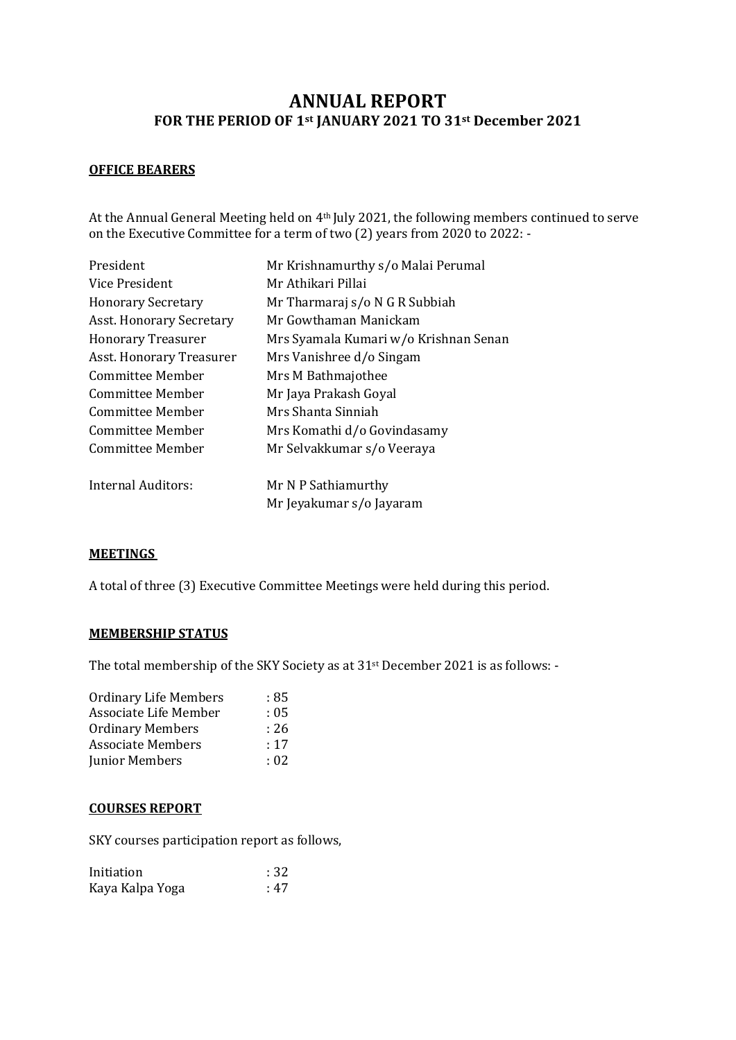# **ANNUAL REPORT FOR THE PERIOD OF 1st JANUARY 2021 TO 31st December 2021**

### **OFFICE BEARERS**

At the Annual General Meeting held on 4th July 2021, the following members continued to serve on the Executive Committee for a term of two (2) years from 2020 to 2022: -

| Mr Krishnamurthy s/o Malai Perumal    |
|---------------------------------------|
| Mr Athikari Pillai                    |
| Mr Tharmaraj s/o N G R Subbiah        |
| Mr Gowthaman Manickam                 |
| Mrs Syamala Kumari w/o Krishnan Senan |
| Mrs Vanishree d/o Singam              |
| Mrs M Bathmajothee                    |
| Mr Jaya Prakash Goyal                 |
| Mrs Shanta Sinniah                    |
| Mrs Komathi d/o Govindasamy           |
| Mr Selvakkumar s/o Veeraya            |
| Mr N P Sathiamurthy                   |
| Mr Jeyakumar s/o Jayaram              |
|                                       |

### **MEETINGS**

A total of three (3) Executive Committee Meetings were held during this period.

#### **MEMBERSHIP STATUS**

The total membership of the SKY Society as at 31st December 2021 is as follows: -

| <b>Ordinary Life Members</b> | : 85 |
|------------------------------|------|
| Associate Life Member        | : 05 |
| <b>Ordinary Members</b>      | : 26 |
| <b>Associate Members</b>     | :17  |
| Junior Members               | : 02 |

#### **COURSES REPORT**

SKY courses participation report as follows,

| Initiation      | :32  |
|-----------------|------|
| Kaya Kalpa Yoga | : 47 |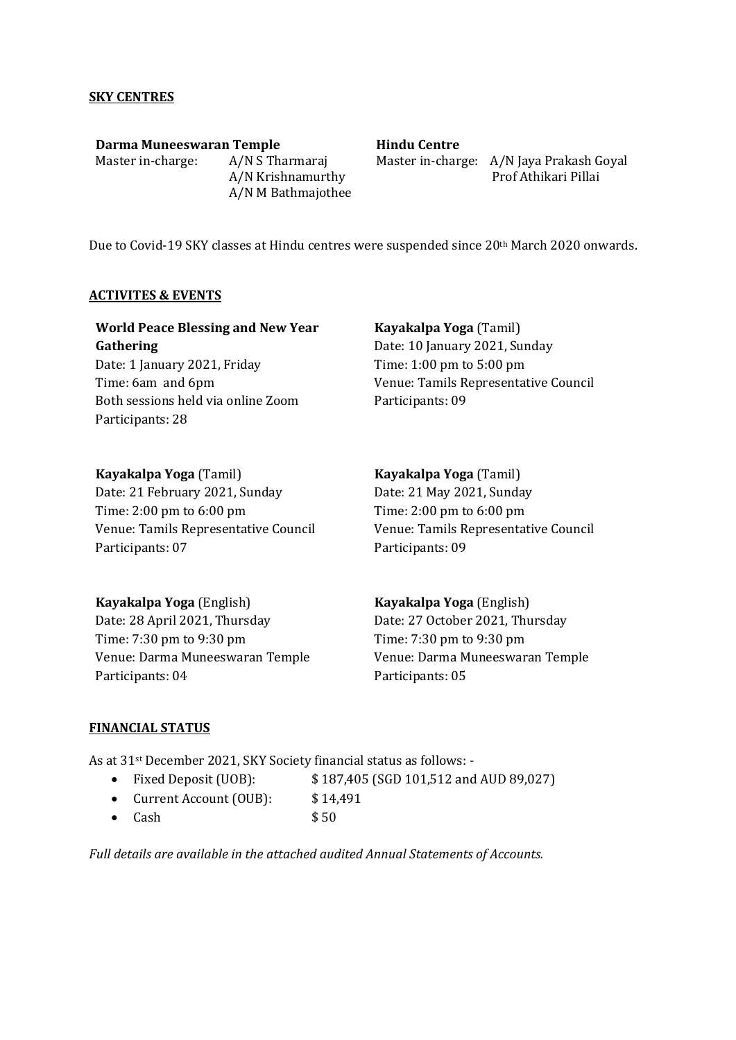### **SKY CENTRES**

**Darma Muneeswaran Temple** Master in-charge: A/N S Tharmaraj A/N Krishnamurthy A/N M Bathmajothee

## **Hindu Centre**

Master in-charge: A/N Jaya Prakash Goyal Prof Athikari Pillai

Due to Covid-19 SKY classes at Hindu centres were suspended since 20th March 2020 onwards.

#### **ACTIVITES & EVENTS**

| <b>World Peace Blessing and New Year</b>               | Kayakalpa Yoga (Tamil)                       |
|--------------------------------------------------------|----------------------------------------------|
| Gathering                                              | Date: 10 January 2021, Sunday                |
| Date: 1 January 2021, Friday                           | Time: $1:00 \text{ pm}$ to $5:00 \text{ pm}$ |
| Time: 6am and 6pm                                      | Venue: Tamils Representative Council         |
| Both sessions held via online Zoom<br>Participants: 28 | Participants: 09                             |

| Kayakalpa Yoga (Tamil)                       | Kayakalpa Yoga (T    |
|----------------------------------------------|----------------------|
| Date: 21 February 2021, Sunday               | Date: 21 May 2021,   |
| Time: $2:00 \text{ pm}$ to $6:00 \text{ pm}$ | Time: 2:00 pm to 6:0 |
| Venue: Tamils Representative Council         | Venue: Tamils Repre  |
| Participants: 07                             | Participants: 09     |

**Kayakalpa Yoga** (English) Date: 28 April 2021, Thursday Time: 7:30 pm to 9:30 pm Venue: Darma Muneeswaran Temple Participants: 04

amil) Sunday  $00 \text{ pm}$ esentative Council<sup>.</sup>

**Kayakalpa Yoga** (English) Date: 27 October 2021, Thursday Time: 7:30 pm to 9:30 pm Venue: Darma Muneeswaran Temple Participants: 05

### **FINANCIAL STATUS**

As at 31st December 2021, SKY Society financial status as follows: -

• Fixed Deposit (UOB):  $$187,405$  (SGD 101,512 and AUD 89,027)

- Current Account (OUB): \$14,491
- $Cash$   $$50$

*Full details are available in the attached audited Annual Statements of Accounts.*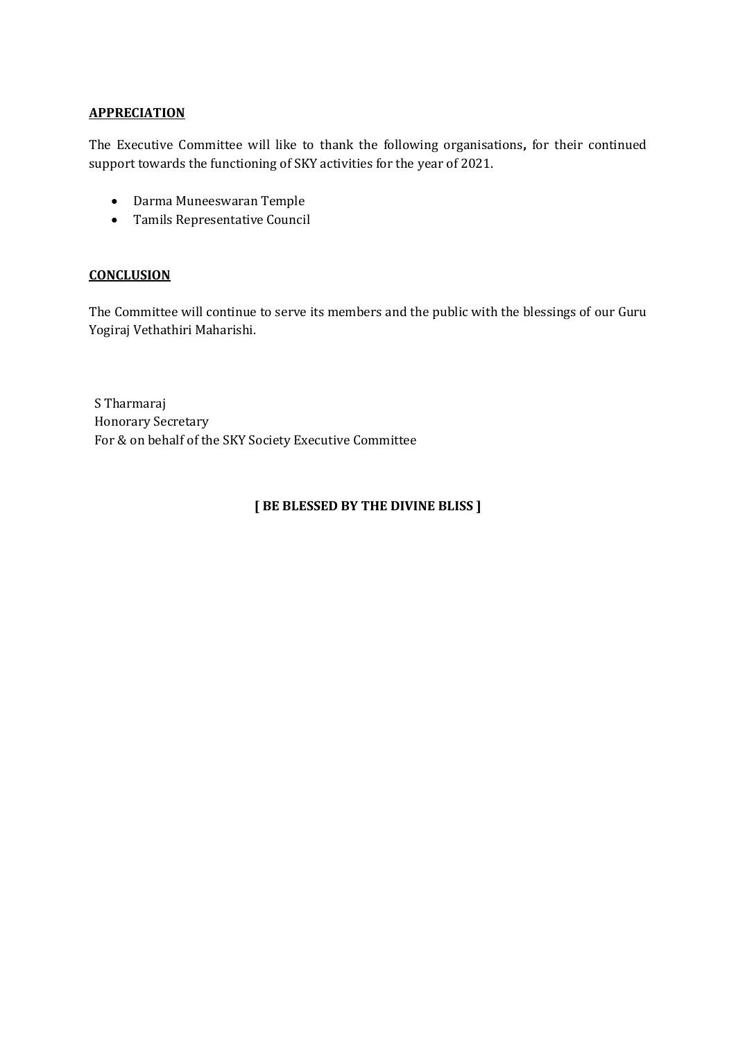### **APPRECIATION**

The Executive Committee will like to thank the following organisations**,** for their continued support towards the functioning of SKY activities for the year of 2021.

- Darma Muneeswaran Temple
- Tamils Representative Council

### **CONCLUSION**

The Committee will continue to serve its members and the public with the blessings of our Guru Yogiraj Vethathiri Maharishi.

S Tharmaraj Honorary Secretary For & on behalf of the SKY Society Executive Committee

# **[ BE BLESSED BY THE DIVINE BLISS ]**